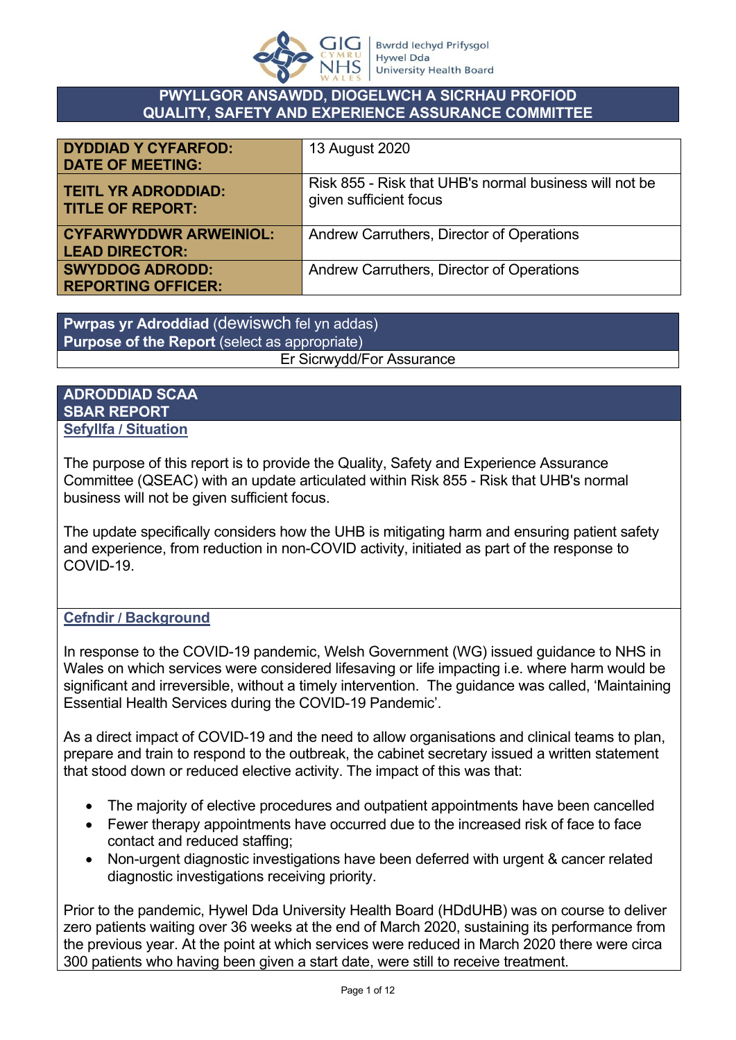

#### **PWYLLGOR ANSAWDD, DIOGELWCH A SICRHAU PROFIOD QUALITY, SAFETY AND EXPERIENCE ASSURANCE COMMITTEE**

| <b>DYDDIAD Y CYFARFOD:</b><br><b>DATE OF MEETING:</b>  | 13 August 2020                                                                   |
|--------------------------------------------------------|----------------------------------------------------------------------------------|
| <b>TEITL YR ADRODDIAD:</b><br><b>TITLE OF REPORT:</b>  | Risk 855 - Risk that UHB's normal business will not be<br>given sufficient focus |
| <b>CYFARWYDDWR ARWEINIOL:</b><br><b>LEAD DIRECTOR:</b> | Andrew Carruthers, Director of Operations                                        |
| <b>SWYDDOG ADRODD:</b><br><b>REPORTING OFFICER:</b>    | Andrew Carruthers, Director of Operations                                        |

**Pwrpas yr Adroddiad** (dewiswch fel yn addas) **Purpose of the Report** (select as appropriate) Er Sicrwydd/For Assurance

#### **ADRODDIAD SCAA SBAR REPORT Sefyllfa / Situation**

The purpose of this report is to provide the Quality, Safety and Experience Assurance Committee (QSEAC) with an update articulated within Risk 855 - Risk that UHB's normal business will not be given sufficient focus.

The update specifically considers how the UHB is mitigating harm and ensuring patient safety and experience, from reduction in non-COVID activity, initiated as part of the response to COVID-19.

#### **Cefndir / Background**

In response to the COVID-19 pandemic, Welsh Government (WG) issued guidance to NHS in Wales on which services were considered lifesaving or life impacting i.e. where harm would be significant and irreversible, without a timely intervention. The guidance was called, 'Maintaining Essential Health Services during the COVID-19 Pandemic'.

As a direct impact of COVID-19 and the need to allow organisations and clinical teams to plan, prepare and train to respond to the outbreak, the cabinet secretary issued a written statement that stood down or reduced elective activity. The impact of this was that:

- The majority of elective procedures and outpatient appointments have been cancelled
- Fewer therapy appointments have occurred due to the increased risk of face to face contact and reduced staffing;
- Non-urgent diagnostic investigations have been deferred with urgent & cancer related diagnostic investigations receiving priority.

Prior to the pandemic, Hywel Dda University Health Board (HDdUHB) was on course to deliver zero patients waiting over 36 weeks at the end of March 2020, sustaining its performance from the previous year. At the point at which services were reduced in March 2020 there were circa 300 patients who having been given a start date, were still to receive treatment.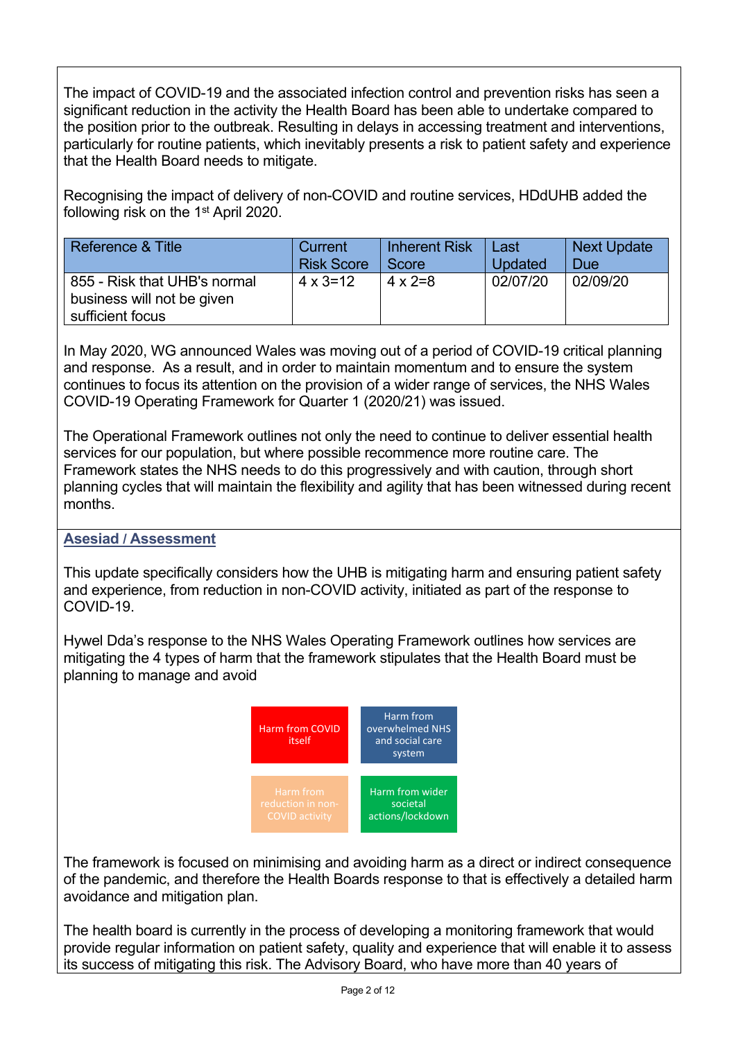The impact of COVID-19 and the associated infection control and prevention risks has seen a significant reduction in the activity the Health Board has been able to undertake compared to the position prior to the outbreak. Resulting in delays in accessing treatment and interventions, particularly for routine patients, which inevitably presents a risk to patient safety and experience that the Health Board needs to mitigate.

Recognising the impact of delivery of non-COVID and routine services, HDdUHB added the following risk on the 1<sup>st</sup> April 2020.

| Reference & Title                                                              | Current           | <b>Inherent Risk</b> | Last           | <b>Next Update</b> |
|--------------------------------------------------------------------------------|-------------------|----------------------|----------------|--------------------|
|                                                                                | <b>Risk Score</b> | Score                | <b>Updated</b> | <b>Due</b>         |
| 855 - Risk that UHB's normal<br>business will not be given<br>sufficient focus | $4 \times 3 = 12$ | $4 \times 2=8$       | 02/07/20       | 02/09/20           |

In May 2020, WG announced Wales was moving out of a period of COVID-19 critical planning and response. As a result, and in order to maintain momentum and to ensure the system continues to focus its attention on the provision of a wider range of services, the NHS Wales COVID-19 Operating Framework for Quarter 1 (2020/21) was issued.

The Operational Framework outlines not only the need to continue to deliver essential health services for our population, but where possible recommence more routine care. The Framework states the NHS needs to do this progressively and with caution, through short planning cycles that will maintain the flexibility and agility that has been witnessed during recent months.

#### **Asesiad / Assessment**

This update specifically considers how the UHB is mitigating harm and ensuring patient safety and experience, from reduction in non-COVID activity, initiated as part of the response to COVID-19.

Hywel Dda's response to the NHS Wales Operating Framework outlines how services are mitigating the 4 types of harm that the framework stipulates that the Health Board must be planning to manage and avoid



The framework is focused on minimising and avoiding harm as a direct or indirect consequence of the pandemic, and therefore the Health Boards response to that is effectively a detailed harm avoidance and mitigation plan.

The health board is currently in the process of developing a monitoring framework that would provide regular information on patient safety, quality and experience that will enable it to assess its success of mitigating this risk. The Advisory Board, who have more than 40 years of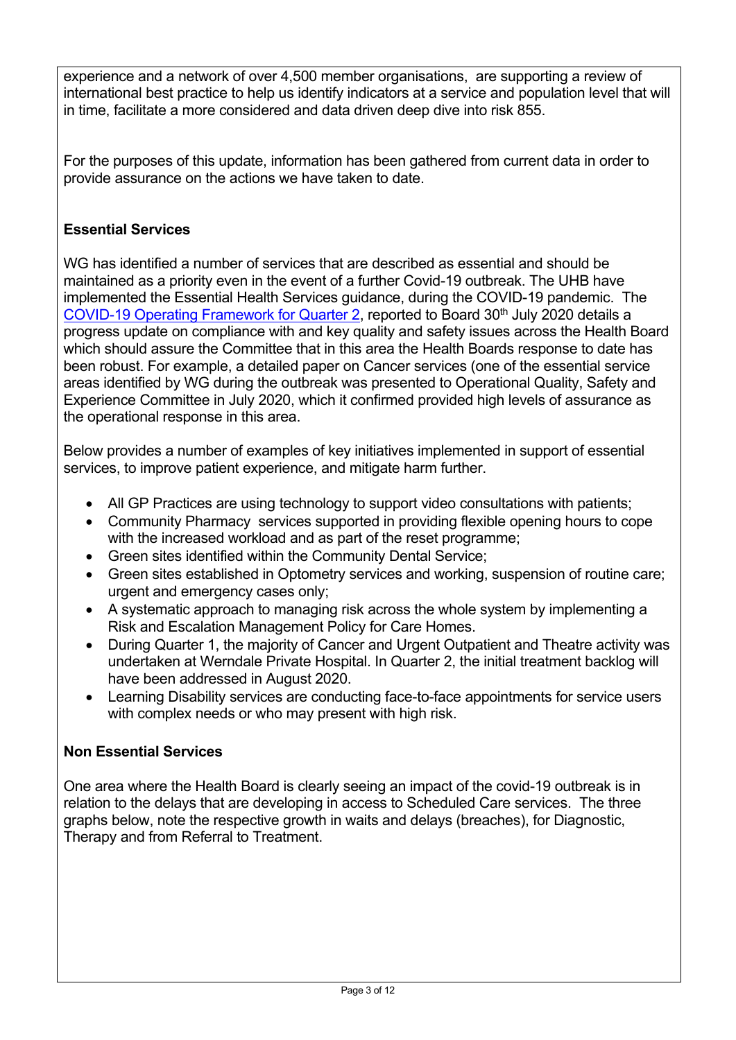experience and a network of over 4,500 member organisations, are supporting a review of international best practice to help us identify indicators at a service and population level that will in time, facilitate a more considered and data driven deep dive into risk 855.

For the purposes of this update, information has been gathered from current data in order to provide assurance on the actions we have taken to date.

#### **Essential Services**

WG has identified a number of services that are described as essential and should be maintained as a priority even in the event of a further Covid-19 outbreak. The UHB have implemented the Essential Health Services guidance, during the COVID-19 pandemic. The [COVID-19 Operating Framework for Quarter 2](http://www.wales.nhs.uk/sitesplus/documents/862/Item%203.2%20COVID-19%20Report%20including%20ratification%20of%20COVID-19%20Operational%20Plan%20for%20Quarter%202%202020-21,%20Field%20Hospitals%20and%20Winter%20Plan%20final.pdf), reported to Board 30<sup>th</sup> July 2020 details a progress update on compliance with and key quality and safety issues across the Health Board which should assure the Committee that in this area the Health Boards response to date has been robust. For example, a detailed paper on Cancer services (one of the essential service areas identified by WG during the outbreak was presented to Operational Quality, Safety and Experience Committee in July 2020, which it confirmed provided high levels of assurance as the operational response in this area.

Below provides a number of examples of key initiatives implemented in support of essential services, to improve patient experience, and mitigate harm further.

- All GP Practices are using technology to support video consultations with patients;
- Community Pharmacy services supported in providing flexible opening hours to cope with the increased workload and as part of the reset programme;
- Green sites identified within the Community Dental Service;
- Green sites established in Optometry services and working, suspension of routine care; urgent and emergency cases only;
- A systematic approach to managing risk across the whole system by implementing a Risk and Escalation Management Policy for Care Homes.
- During Quarter 1, the majority of Cancer and Urgent Outpatient and Theatre activity was undertaken at Werndale Private Hospital. In Quarter 2, the initial treatment backlog will have been addressed in August 2020.
- Learning Disability services are conducting face-to-face appointments for service users with complex needs or who may present with high risk.

#### **Non Essential Services**

One area where the Health Board is clearly seeing an impact of the covid-19 outbreak is in relation to the delays that are developing in access to Scheduled Care services. The three graphs below, note the respective growth in waits and delays (breaches), for Diagnostic, Therapy and from Referral to Treatment.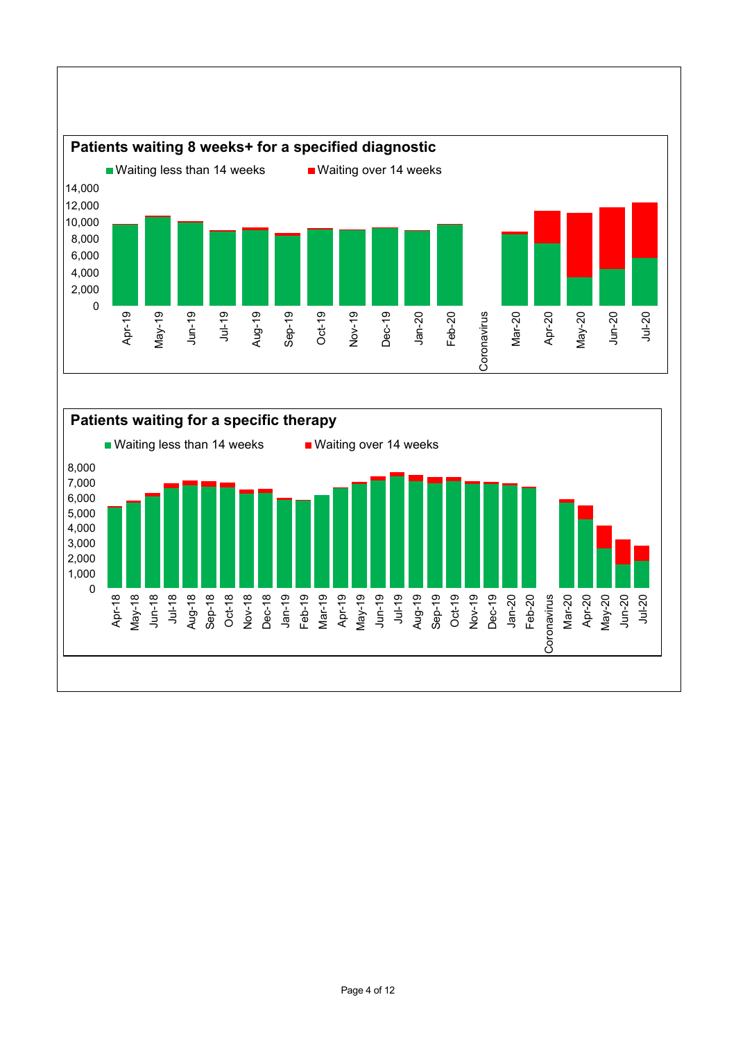

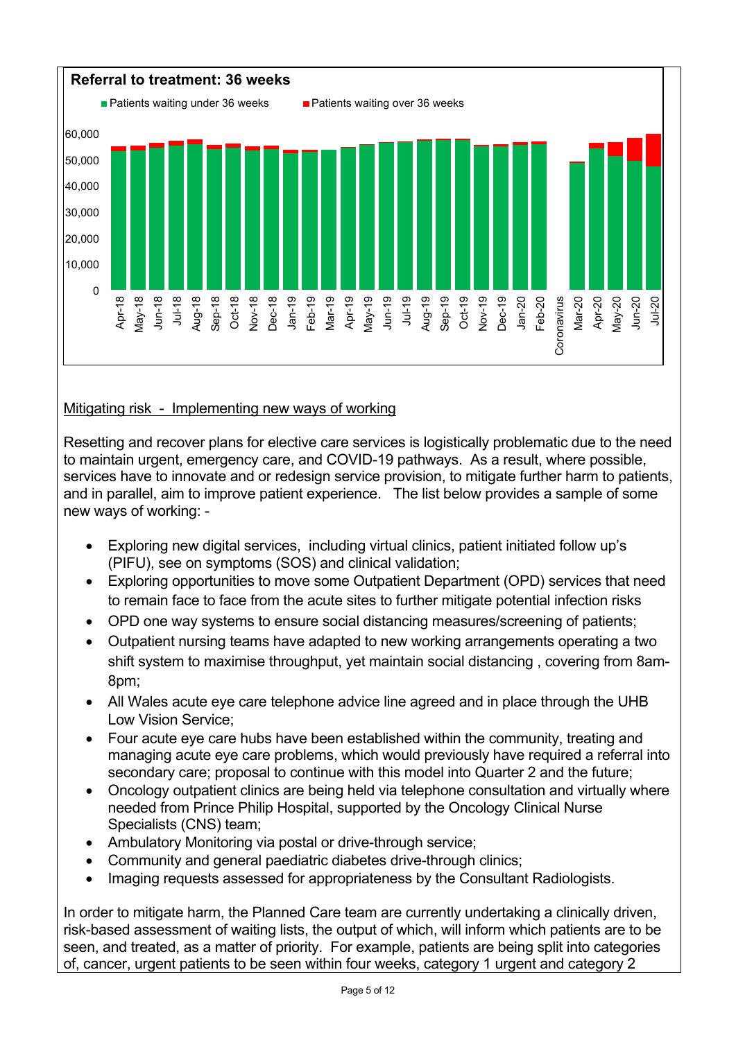

#### Mitigating risk - Implementing new ways of working

Resetting and recover plans for elective care services is logistically problematic due to the need to maintain urgent, emergency care, and COVID-19 pathways. As a result, where possible, services have to innovate and or redesign service provision, to mitigate further harm to patients, and in parallel, aim to improve patient experience. The list below provides a sample of some new ways of working: -

- Exploring new digital services, including virtual clinics, patient initiated follow up's (PIFU), see on symptoms (SOS) and clinical validation;
- Exploring opportunities to move some Outpatient Department (OPD) services that need to remain face to face from the acute sites to further mitigate potential infection risks
- OPD one way systems to ensure social distancing measures/screening of patients;
- Outpatient nursing teams have adapted to new working arrangements operating a two shift system to maximise throughput, yet maintain social distancing , covering from 8am-8pm;
- All Wales acute eye care telephone advice line agreed and in place through the UHB Low Vision Service;
- Four acute eye care hubs have been established within the community, treating and managing acute eye care problems, which would previously have required a referral into secondary care; proposal to continue with this model into Quarter 2 and the future;
- Oncology outpatient clinics are being held via telephone consultation and virtually where needed from Prince Philip Hospital, supported by the Oncology Clinical Nurse Specialists (CNS) team;
- Ambulatory Monitoring via postal or drive-through service;
- Community and general paediatric diabetes drive-through clinics;
- Imaging requests assessed for appropriateness by the Consultant Radiologists.

In order to mitigate harm, the Planned Care team are currently undertaking a clinically driven, risk-based assessment of waiting lists, the output of which, will inform which patients are to be seen, and treated, as a matter of priority. For example, patients are being split into categories of, cancer, urgent patients to be seen within four weeks, category 1 urgent and category 2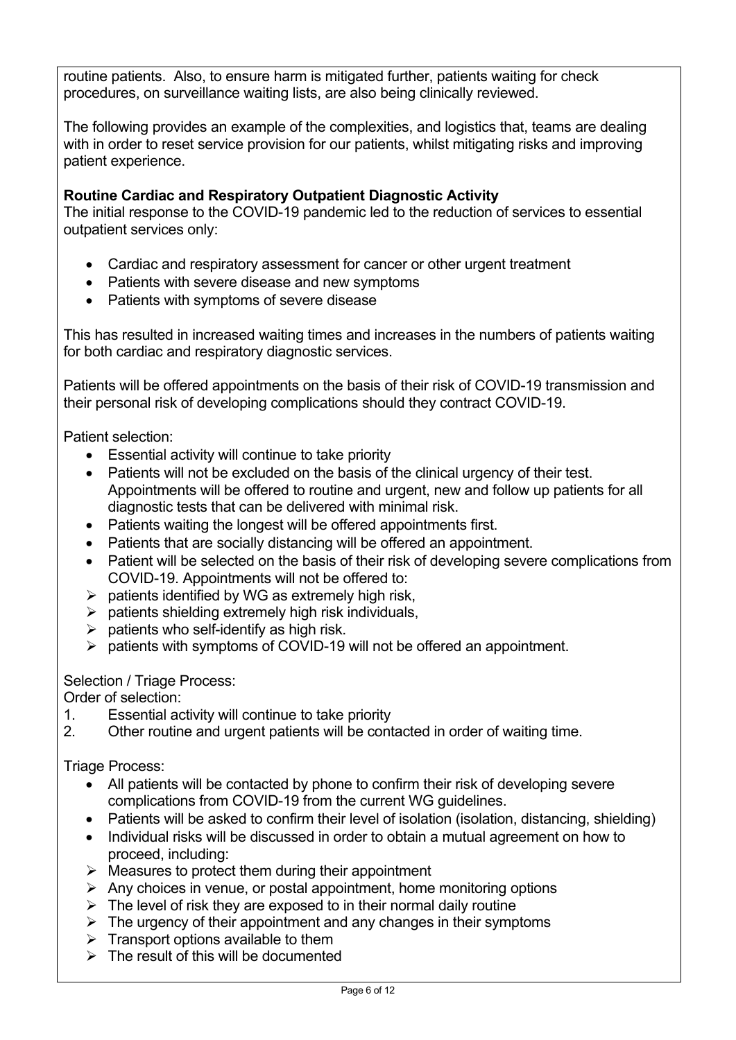routine patients. Also, to ensure harm is mitigated further, patients waiting for check procedures, on surveillance waiting lists, are also being clinically reviewed.

The following provides an example of the complexities, and logistics that, teams are dealing with in order to reset service provision for our patients, whilst mitigating risks and improving patient experience.

### **Routine Cardiac and Respiratory Outpatient Diagnostic Activity**

The initial response to the COVID-19 pandemic led to the reduction of services to essential outpatient services only:

- Cardiac and respiratory assessment for cancer or other urgent treatment
- Patients with severe disease and new symptoms
- Patients with symptoms of severe disease

This has resulted in increased waiting times and increases in the numbers of patients waiting for both cardiac and respiratory diagnostic services.

Patients will be offered appointments on the basis of their risk of COVID-19 transmission and their personal risk of developing complications should they contract COVID-19.

Patient selection:

- Essential activity will continue to take priority
- Patients will not be excluded on the basis of the clinical urgency of their test. Appointments will be offered to routine and urgent, new and follow up patients for all diagnostic tests that can be delivered with minimal risk.
- Patients waiting the longest will be offered appointments first.
- Patients that are socially distancing will be offered an appointment.
- Patient will be selected on the basis of their risk of developing severe complications from COVID-19. Appointments will not be offered to:
- $\triangleright$  patients identified by WG as extremely high risk,
- $\triangleright$  patients shielding extremely high risk individuals,
- $\triangleright$  patients who self-identify as high risk.
- $\triangleright$  patients with symptoms of COVID-19 will not be offered an appointment.

Selection / Triage Process:

Order of selection:

- 1. Essential activity will continue to take priority
- 2. Other routine and urgent patients will be contacted in order of waiting time.

Triage Process:

- All patients will be contacted by phone to confirm their risk of developing severe complications from COVID-19 from the current WG guidelines.
- Patients will be asked to confirm their level of isolation (isolation, distancing, shielding)
- Individual risks will be discussed in order to obtain a mutual agreement on how to proceed, including:
- $\triangleright$  Measures to protect them during their appointment
- $\triangleright$  Any choices in venue, or postal appointment, home monitoring options
- $\triangleright$  The level of risk they are exposed to in their normal daily routine
- $\triangleright$  The urgency of their appointment and any changes in their symptoms
- $\triangleright$  Transport options available to them
- $\triangleright$  The result of this will be documented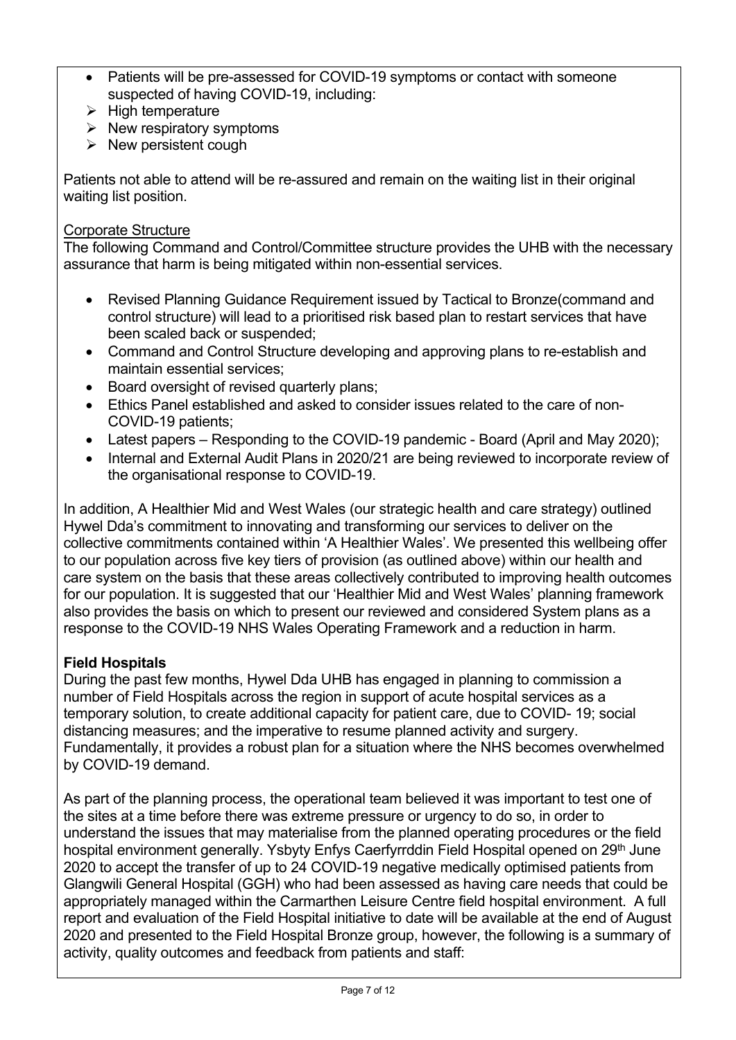- Patients will be pre-assessed for COVID-19 symptoms or contact with someone suspected of having COVID-19, including:
- $\triangleright$  High temperature
- $\triangleright$  New respiratory symptoms
- $\triangleright$  New persistent cough

Patients not able to attend will be re-assured and remain on the waiting list in their original waiting list position.

#### Corporate Structure

The following Command and Control/Committee structure provides the UHB with the necessary assurance that harm is being mitigated within non-essential services.

- Revised Planning Guidance Requirement issued by Tactical to Bronze(command and control structure) will lead to a prioritised risk based plan to restart services that have been scaled back or suspended;
- Command and Control Structure developing and approving plans to re-establish and maintain essential services;
- Board oversight of revised quarterly plans:
- Ethics Panel established and asked to consider issues related to the care of non-COVID-19 patients;
- Latest papers Responding to the COVID-19 pandemic Board (April and May 2020);
- Internal and External Audit Plans in 2020/21 are being reviewed to incorporate review of the organisational response to COVID-19.

In addition, A Healthier Mid and West Wales (our strategic health and care strategy) outlined Hywel Dda's commitment to innovating and transforming our services to deliver on the collective commitments contained within 'A Healthier Wales'. We presented this wellbeing offer to our population across five key tiers of provision (as outlined above) within our health and care system on the basis that these areas collectively contributed to improving health outcomes for our population. It is suggested that our 'Healthier Mid and West Wales' planning framework also provides the basis on which to present our reviewed and considered System plans as a response to the COVID-19 NHS Wales Operating Framework and a reduction in harm.

#### **Field Hospitals**

During the past few months, Hywel Dda UHB has engaged in planning to commission a number of Field Hospitals across the region in support of acute hospital services as a temporary solution, to create additional capacity for patient care, due to COVID- 19; social distancing measures; and the imperative to resume planned activity and surgery. Fundamentally, it provides a robust plan for a situation where the NHS becomes overwhelmed by COVID-19 demand.

As part of the planning process, the operational team believed it was important to test one of the sites at a time before there was extreme pressure or urgency to do so, in order to understand the issues that may materialise from the planned operating procedures or the field hospital environment generally. Ysbyty Enfys Caerfyrrddin Field Hospital opened on 29<sup>th</sup> June 2020 to accept the transfer of up to 24 COVID-19 negative medically optimised patients from Glangwili General Hospital (GGH) who had been assessed as having care needs that could be appropriately managed within the Carmarthen Leisure Centre field hospital environment. A full report and evaluation of the Field Hospital initiative to date will be available at the end of August 2020 and presented to the Field Hospital Bronze group, however, the following is a summary of activity, quality outcomes and feedback from patients and staff: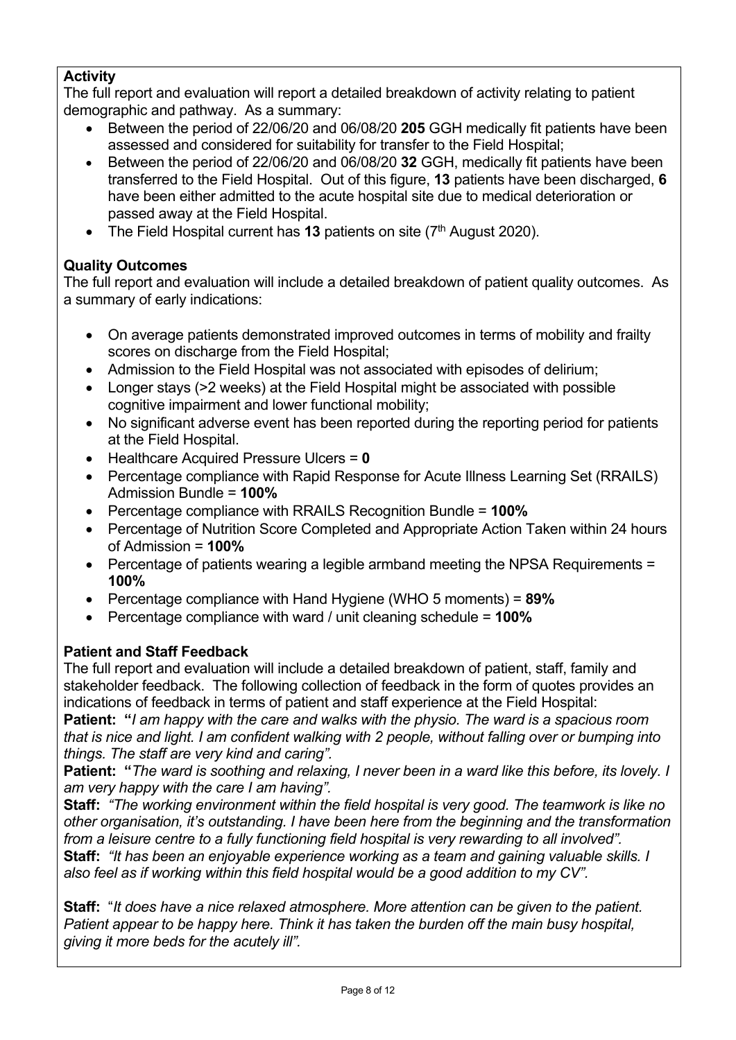### **Activity**

The full report and evaluation will report a detailed breakdown of activity relating to patient demographic and pathway. As a summary:

- Between the period of 22/06/20 and 06/08/20 **205** GGH medically fit patients have been assessed and considered for suitability for transfer to the Field Hospital;
- Between the period of 22/06/20 and 06/08/20 **32** GGH, medically fit patients have been transferred to the Field Hospital. Out of this figure, **13** patients have been discharged, **6** have been either admitted to the acute hospital site due to medical deterioration or passed away at the Field Hospital.
- The Field Hospital current has 13 patients on site (7<sup>th</sup> August 2020).

## **Quality Outcomes**

The full report and evaluation will include a detailed breakdown of patient quality outcomes. As a summary of early indications:

- On average patients demonstrated improved outcomes in terms of mobility and frailty scores on discharge from the Field Hospital;
- Admission to the Field Hospital was not associated with episodes of delirium;
- Longer stays (>2 weeks) at the Field Hospital might be associated with possible cognitive impairment and lower functional mobility;
- No significant adverse event has been reported during the reporting period for patients at the Field Hospital.
- Healthcare Acquired Pressure Ulcers = **0**
- Percentage compliance with Rapid Response for Acute Illness Learning Set (RRAILS) Admission Bundle = **100%**
- Percentage compliance with RRAILS Recognition Bundle = **100%**
- Percentage of Nutrition Score Completed and Appropriate Action Taken within 24 hours of Admission = **100%**
- Percentage of patients wearing a legible armband meeting the NPSA Requirements = **100%**
- Percentage compliance with Hand Hygiene (WHO 5 moments) = **89%**
- Percentage compliance with ward / unit cleaning schedule = **100%**

## **Patient and Staff Feedback**

The full report and evaluation will include a detailed breakdown of patient, staff, family and stakeholder feedback. The following collection of feedback in the form of quotes provides an indications of feedback in terms of patient and staff experience at the Field Hospital:

**Patient: "***I am happy with the care and walks with the physio. The ward is a spacious room that is nice and light. I am confident walking with 2 people, without falling over or bumping into things. The staff are very kind and caring".*

**Patient: "***The ward is soothing and relaxing, I never been in a ward like this before, its lovely. I am very happy with the care I am having".* 

**Staff:** *"The working environment within the field hospital is very good. The teamwork is like no other organisation, it's outstanding. I have been here from the beginning and the transformation from a leisure centre to a fully functioning field hospital is very rewarding to all involved".*  **Staff:** *"It has been an enjoyable experience working as a team and gaining valuable skills. I also feel as if working within this field hospital would be a good addition to my CV".* 

**Staff:** "*It does have a nice relaxed atmosphere. More attention can be given to the patient. Patient appear to be happy here. Think it has taken the burden off the main busy hospital, giving it more beds for the acutely ill".*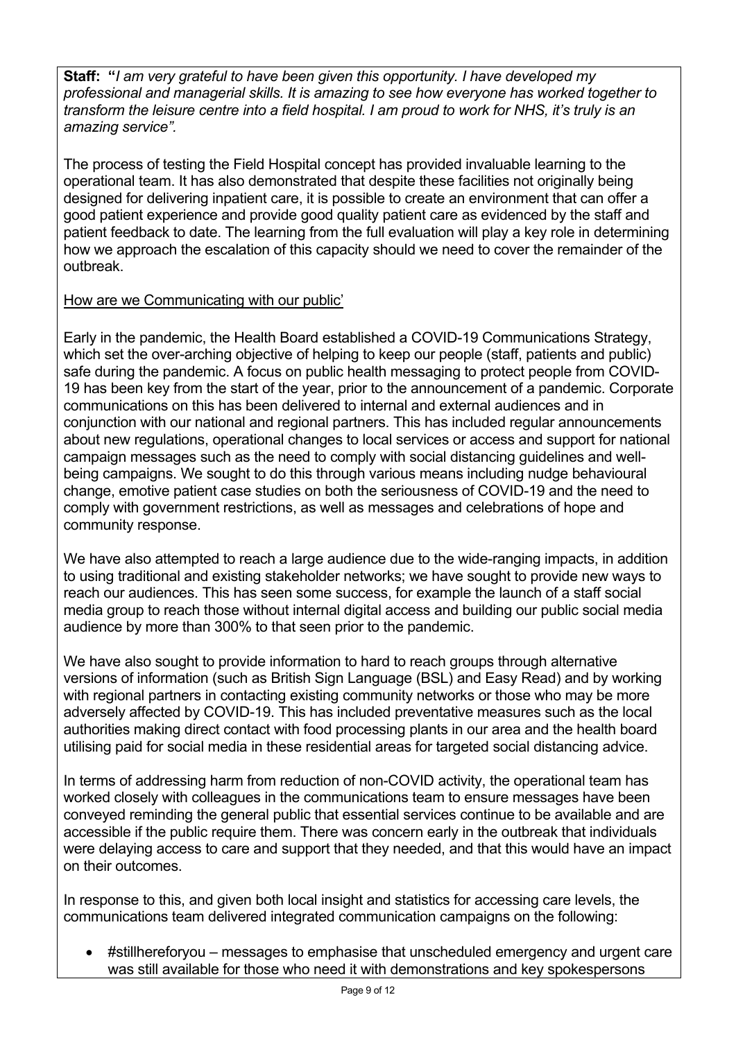**Staff: "***I am very grateful to have been given this opportunity. I have developed my professional and managerial skills. It is amazing to see how everyone has worked together to transform the leisure centre into a field hospital. I am proud to work for NHS, it's truly is an amazing service".*

The process of testing the Field Hospital concept has provided invaluable learning to the operational team. It has also demonstrated that despite these facilities not originally being designed for delivering inpatient care, it is possible to create an environment that can offer a good patient experience and provide good quality patient care as evidenced by the staff and patient feedback to date. The learning from the full evaluation will play a key role in determining how we approach the escalation of this capacity should we need to cover the remainder of the outbreak.

#### How are we Communicating with our public'

Early in the pandemic, the Health Board established a COVID-19 Communications Strategy, which set the over-arching objective of helping to keep our people (staff, patients and public) safe during the pandemic. A focus on public health messaging to protect people from COVID-19 has been key from the start of the year, prior to the announcement of a pandemic. Corporate communications on this has been delivered to internal and external audiences and in conjunction with our national and regional partners. This has included regular announcements about new regulations, operational changes to local services or access and support for national campaign messages such as the need to comply with social distancing guidelines and wellbeing campaigns. We sought to do this through various means including nudge behavioural change, emotive patient case studies on both the seriousness of COVID-19 and the need to comply with government restrictions, as well as messages and celebrations of hope and community response.

We have also attempted to reach a large audience due to the wide-ranging impacts, in addition to using traditional and existing stakeholder networks; we have sought to provide new ways to reach our audiences. This has seen some success, for example the launch of a staff social media group to reach those without internal digital access and building our public social media audience by more than 300% to that seen prior to the pandemic.

We have also sought to provide information to hard to reach groups through alternative versions of information (such as British Sign Language (BSL) and Easy Read) and by working with regional partners in contacting existing community networks or those who may be more adversely affected by COVID-19. This has included preventative measures such as the local authorities making direct contact with food processing plants in our area and the health board utilising paid for social media in these residential areas for targeted social distancing advice.

In terms of addressing harm from reduction of non-COVID activity, the operational team has worked closely with colleagues in the communications team to ensure messages have been conveyed reminding the general public that essential services continue to be available and are accessible if the public require them. There was concern early in the outbreak that individuals were delaying access to care and support that they needed, and that this would have an impact on their outcomes.

In response to this, and given both local insight and statistics for accessing care levels, the communications team delivered integrated communication campaigns on the following:

 #stillhereforyou – messages to emphasise that unscheduled emergency and urgent care was still available for those who need it with demonstrations and key spokespersons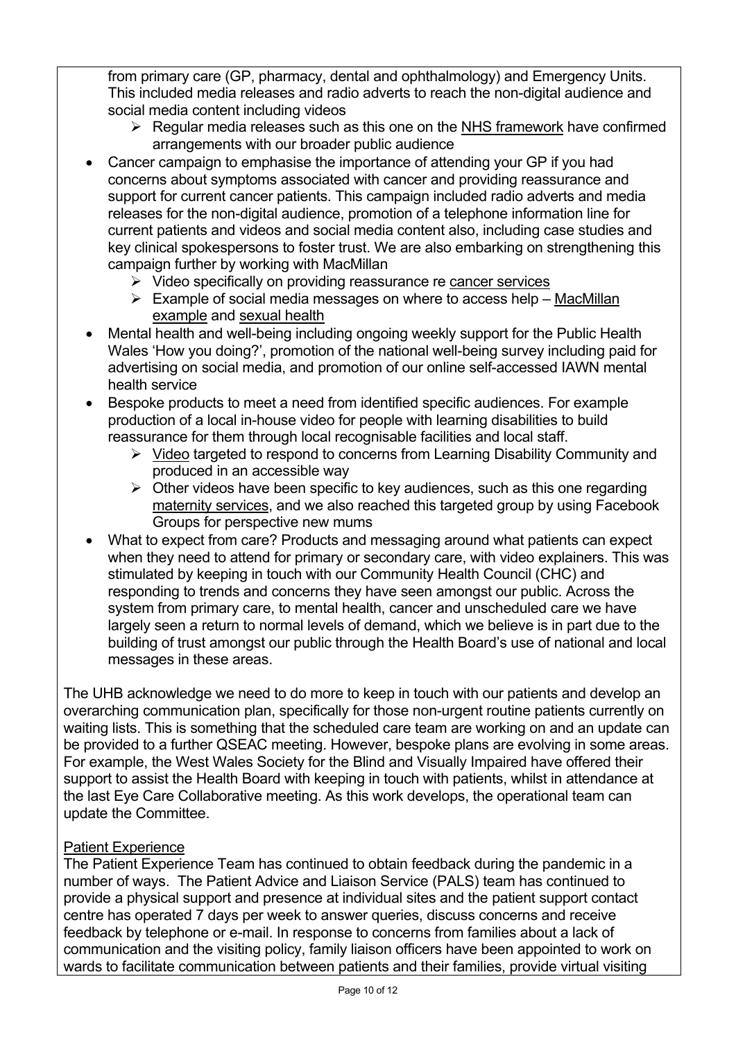from primary care (GP, pharmacy, dental and ophthalmology) and Emergency Units. This included media releases and radio adverts to reach the non-digital audience and social media content including videos

- $\triangleright$  Regular media releases such as this one on the [NHS framework](https://hduhb.nhs.wales/news/press-releases/public-asked-to-work-with-local-nhs/) have confirmed arrangements with our broader public audience
- Cancer campaign to emphasise the importance of attending your GP if you had concerns about symptoms associated with cancer and providing reassurance and support for current cancer patients. This campaign included radio adverts and media releases for the non-digital audience, promotion of a telephone information line for current patients and videos and social media content also, including case studies and key clinical spokespersons to foster trust. We are also embarking on strengthening this campaign further by working with MacMillan
	- $\triangleright$  Video specifically on providing reassurance re [cancer services](https://www.youtube.com/watch?v=xhMsezXUBkQ&t=4s)
	- $\triangleright$  Example of social media messages on where to access help MacMillan [example](https://www.facebook.com/macmillan.cymruwales/photos/a.640296012680395/2952941431415830) and [sexual health](https://www.facebook.com/HywelDdaHealthBoard/posts/3125170220847709)
- Mental health and well-being including ongoing weekly support for the Public Health Wales 'How you doing?', promotion of the national well-being survey including paid for advertising on social media, and promotion of our online self-accessed IAWN mental health service
- Bespoke products to meet a need from identified specific audiences. For example production of a local in-house video for people with learning disabilities to build reassurance for them through local recognisable facilities and local staff.
	- $\triangleright$  [Video](https://www.youtube.com/watch?v=d9ZHrz3qOpw) targeted to respond to concerns from Learning Disability Community and produced in an accessible way
	- $\triangleright$  Other videos have been specific to key audiences, such as this one regarding [maternity services](https://hduhb.nhs.wales/news/press-releases/maternity-services-visiting-and-birthing-partner-update/), and we also reached this targeted group by using Facebook Groups for perspective new mums
- What to expect from care? Products and messaging around what patients can expect when they need to attend for primary or secondary care, with video explainers. This was stimulated by keeping in touch with our Community Health Council (CHC) and responding to trends and concerns they have seen amongst our public. Across the system from primary care, to mental health, cancer and unscheduled care we have largely seen a return to normal levels of demand, which we believe is in part due to the building of trust amongst our public through the Health Board's use of national and local messages in these areas.

The UHB acknowledge we need to do more to keep in touch with our patients and develop an overarching communication plan, specifically for those non-urgent routine patients currently on waiting lists. This is something that the scheduled care team are working on and an update can be provided to a further QSEAC meeting. However, bespoke plans are evolving in some areas. For example, the West Wales Society for the Blind and Visually Impaired have offered their support to assist the Health Board with keeping in touch with patients, whilst in attendance at the last Eye Care Collaborative meeting. As this work develops, the operational team can update the Committee.

#### Patient Experience

The Patient Experience Team has continued to obtain feedback during the pandemic in a number of ways. The Patient Advice and Liaison Service (PALS) team has continued to provide a physical support and presence at individual sites and the patient support contact centre has operated 7 days per week to answer queries, discuss concerns and receive feedback by telephone or e-mail. In response to concerns from families about a lack of communication and the visiting policy, family liaison officers have been appointed to work on wards to facilitate communication between patients and their families, provide virtual visiting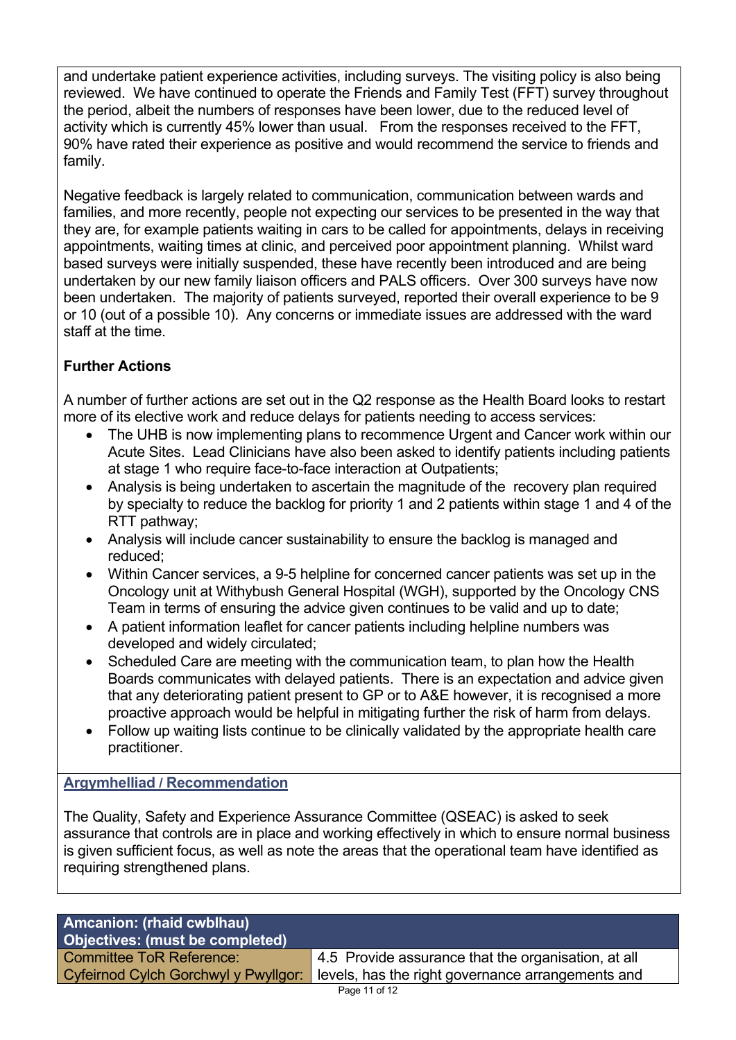and undertake patient experience activities, including surveys. The visiting policy is also being reviewed. We have continued to operate the Friends and Family Test (FFT) survey throughout the period, albeit the numbers of responses have been lower, due to the reduced level of activity which is currently 45% lower than usual. From the responses received to the FFT, 90% have rated their experience as positive and would recommend the service to friends and family.

Negative feedback is largely related to communication, communication between wards and families, and more recently, people not expecting our services to be presented in the way that they are, for example patients waiting in cars to be called for appointments, delays in receiving appointments, waiting times at clinic, and perceived poor appointment planning. Whilst ward based surveys were initially suspended, these have recently been introduced and are being undertaken by our new family liaison officers and PALS officers. Over 300 surveys have now been undertaken. The majority of patients surveyed, reported their overall experience to be 9 or 10 (out of a possible 10). Any concerns or immediate issues are addressed with the ward staff at the time.

# **Further Actions**

A number of further actions are set out in the Q2 response as the Health Board looks to restart more of its elective work and reduce delays for patients needing to access services:

- The UHB is now implementing plans to recommence Urgent and Cancer work within our Acute Sites. Lead Clinicians have also been asked to identify patients including patients at stage 1 who require face-to-face interaction at Outpatients;
- Analysis is being undertaken to ascertain the magnitude of the recovery plan required by specialty to reduce the backlog for priority 1 and 2 patients within stage 1 and 4 of the RTT pathway;
- Analysis will include cancer sustainability to ensure the backlog is managed and reduced;
- Within Cancer services, a 9-5 helpline for concerned cancer patients was set up in the Oncology unit at Withybush General Hospital (WGH), supported by the Oncology CNS Team in terms of ensuring the advice given continues to be valid and up to date;
- A patient information leaflet for cancer patients including helpline numbers was developed and widely circulated;
- Scheduled Care are meeting with the communication team, to plan how the Health Boards communicates with delayed patients. There is an expectation and advice given that any deteriorating patient present to GP or to A&E however, it is recognised a more proactive approach would be helpful in mitigating further the risk of harm from delays.
- Follow up waiting lists continue to be clinically validated by the appropriate health care practitioner.

#### **Argymhelliad / Recommendation**

The Quality, Safety and Experience Assurance Committee (QSEAC) is asked to seek assurance that controls are in place and working effectively in which to ensure normal business is given sufficient focus, as well as note the areas that the operational team have identified as requiring strengthened plans.

| Amcanion: (rhaid cwblhau)            |                                                     |  |
|--------------------------------------|-----------------------------------------------------|--|
| Objectives: (must be completed)      |                                                     |  |
| <b>Committee ToR Reference:</b>      | 4.5 Provide assurance that the organisation, at all |  |
| Cyfeirnod Cylch Gorchwyl y Pwyllgor: | levels, has the right governance arrangements and   |  |
| Page 11 of 12                        |                                                     |  |